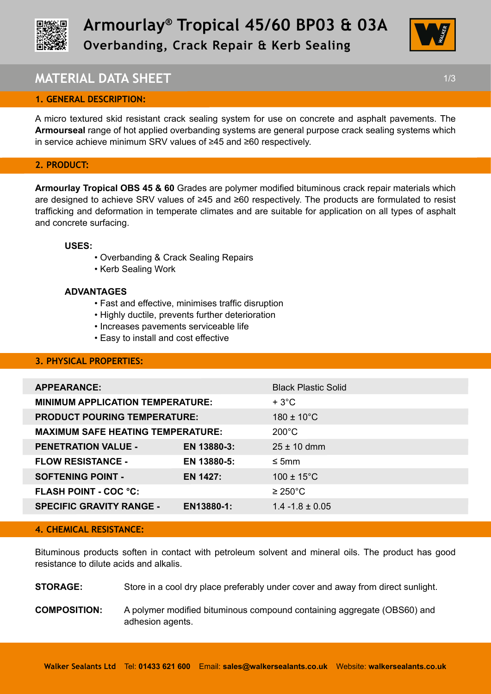



# **MATERIAL DATA SHEET** 1/3

## **1. GENERAL DESCRIPTION:**

A micro textured skid resistant crack sealing system for use on concrete and asphalt pavements. The **Armourseal** range of hot applied overbanding systems are general purpose crack sealing systems which in service achieve minimum SRV values of ≥45 and ≥60 respectively.

## **2. PRODUCT:**

**Armourlay Tropical OBS 45 & 60** Grades are polymer modified bituminous crack repair materials which are designed to achieve SRV values of ≥45 and ≥60 respectively. The products are formulated to resist trafficking and deformation in temperate climates and are suitable for application on all types of asphalt and concrete surfacing.

#### **USES:**

- Overbanding & Crack Sealing Repairs
- Kerb Sealing Work

#### **ADVANTAGES**

- Fast and effective, minimises traffic disruption
- Highly ductile, prevents further deterioration
- Increases pavements serviceable life
- Easy to install and cost effective

## **3. PHYSICAL PROPERTIES:**

|                                          | <b>Black Plastic Solid</b> |
|------------------------------------------|----------------------------|
| <b>MINIMUM APPLICATION TEMPERATURE:</b>  | $+3^{\circ}$ C             |
| <b>PRODUCT POURING TEMPERATURE:</b>      | $180 \pm 10^{\circ}$ C     |
| <b>MAXIMUM SAFE HEATING TEMPERATURE:</b> | $200^{\circ}$ C            |
| EN 13880-3:                              | $25 \pm 10$ dmm            |
| EN 13880-5:                              | $\leq$ 5mm                 |
| EN 1427:                                 | $100 \pm 15^{\circ}$ C     |
|                                          | $\geq$ 250°C               |
| EN13880-1:                               | $1.4 - 1.8 \pm 0.05$       |
|                                          |                            |

#### **4. CHEMICAL RESISTANCE:**

Bituminous products soften in contact with petroleum solvent and mineral oils. The product has good resistance to dilute acids and alkalis.

**STORAGE:** Store in a cool dry place preferably under cover and away from direct sunlight.

**COMPOSITION:** A polymer modified bituminous compound containing aggregate (OBS60) and adhesion agents.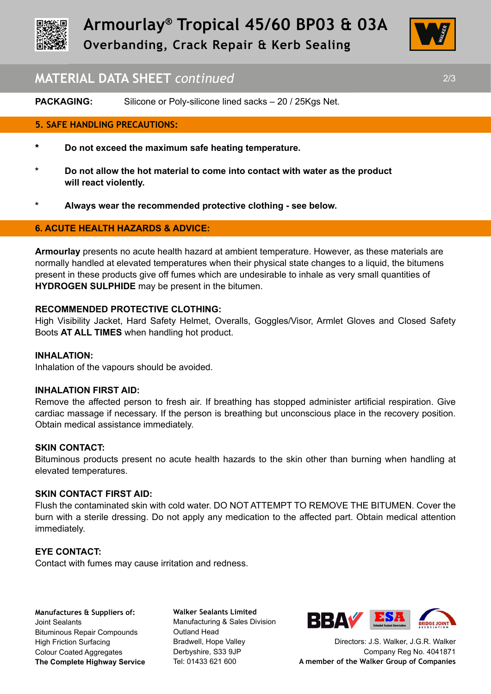



## **MATERIAL DATA SHEET** *continued* 2/3

**PACKAGING:** Silicone or Poly-silicone lined sacks – 20 / 25Kgs Net.

## **5. SAFE HANDLING PRECAUTIONS:**

- **\* Do not exceed the maximum safe heating temperature.**
- **\* Do not allow the hot material to come into contact with water as the product will react violently.**
- **\* Always wear the recommended protective clothing see below.**

## **6. ACUTE HEALTH HAZARDS & ADVICE:**

**Armourlay** presents no acute health hazard at ambient temperature. However, as these materials are normally handled at elevated temperatures when their physical state changes to a liquid, the bitumens present in these products give off fumes which are undesirable to inhale as very small quantities of **HYDROGEN SULPHIDE** may be present in the bitumen.

#### **RECOMMENDED PROTECTIVE CLOTHING:**

High Visibility Jacket, Hard Safety Helmet, Overalls, Goggles/Visor, Armlet Gloves and Closed Safety Boots **AT ALL TIMES** when handling hot product.

#### **INHALATION:**

Inhalation of the vapours should be avoided.

#### **INHALATION FIRST AID:**

Remove the affected person to fresh air. If breathing has stopped administer artificial respiration. Give cardiac massage if necessary. If the person is breathing but unconscious place in the recovery position. Obtain medical assistance immediately.

#### **SKIN CONTACT:**

Bituminous products present no acute health hazards to the skin other than burning when handling at elevated temperatures.

## **SKIN CONTACT FIRST AID:**

Flush the contaminated skin with cold water. DO NOT ATTEMPT TO REMOVE THE BITUMEN. Cover the burn with a sterile dressing. Do not apply any medication to the affected part. Obtain medical attention immediately.

#### **EYE CONTACT:**

Contact with fumes may cause irritation and redness.

**Manufactures & Suppliers of:**  Joint Sealants Bituminous Repair Compounds High Friction Surfacing Colour Coated Aggregates **The Complete Highway Service**

**Walker Sealants Limited**  Manufacturing & Sales Division Outland Head Bradwell, Hope Valley Derbyshire, S33 9JP Tel: 01433 621 600



Directors: J.S. Walker, J.G.R. Walker Company Reg No. 4041871 **A member of the Walker Group of Companies**